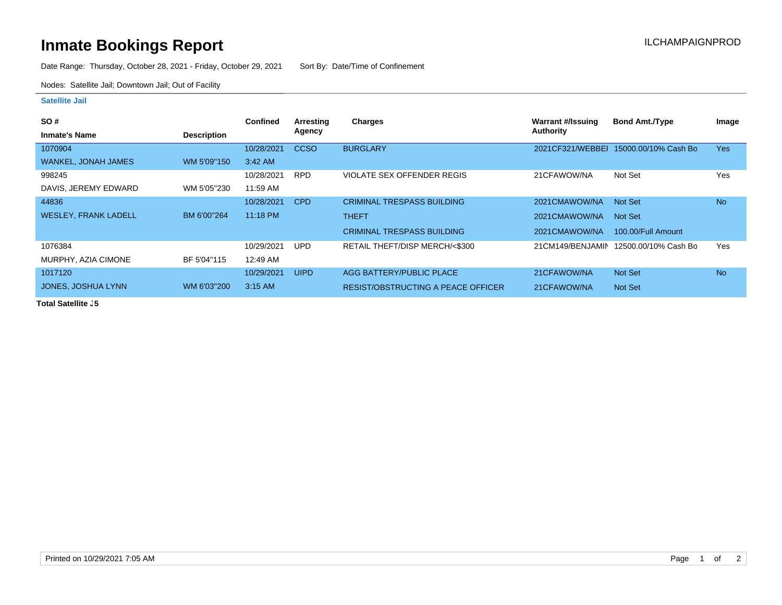## **Inmate Bookings Report Installation ILCHAMPAIGNPROD**

Date Range: Thursday, October 28, 2021 - Friday, October 29, 2021 Sort By: Date/Time of Confinement

Nodes: Satellite Jail; Downtown Jail; Out of Facility

## **Satellite Jail**

| <b>SO#</b>                  |                    | <b>Confined</b> | Arresting   | Charges                                   | <b>Warrant #/Issuing</b> | <b>Bond Amt./Type</b>                   | Image     |
|-----------------------------|--------------------|-----------------|-------------|-------------------------------------------|--------------------------|-----------------------------------------|-----------|
| <b>Inmate's Name</b>        | <b>Description</b> |                 | Agency      |                                           | Authority                |                                         |           |
| 1070904                     |                    | 10/28/2021      | <b>CCSO</b> | <b>BURGLARY</b>                           |                          | 2021 CF321/WEBBEI 15000.00/10% Cash Bo  | Yes       |
| <b>WANKEL, JONAH JAMES</b>  | WM 5'09"150        | $3:42$ AM       |             |                                           |                          |                                         |           |
| 998245                      |                    | 10/28/2021      | <b>RPD</b>  | <b>VIOLATE SEX OFFENDER REGIS</b>         | 21CFAWOW/NA              | Not Set                                 | Yes       |
| DAVIS, JEREMY EDWARD        | WM 5'05"230        | 11:59 AM        |             |                                           |                          |                                         |           |
| 44836                       |                    | 10/28/2021      | <b>CPD</b>  | <b>CRIMINAL TRESPASS BUILDING</b>         | 2021CMAWOW/NA            | Not Set                                 | <b>No</b> |
| <b>WESLEY, FRANK LADELL</b> | BM 6'00"264        | 11:18 PM        |             | <b>THEFT</b>                              | 2021CMAWOW/NA            | Not Set                                 |           |
|                             |                    |                 |             | <b>CRIMINAL TRESPASS BUILDING</b>         | 2021CMAWOW/NA            | 100.00/Full Amount                      |           |
| 1076384                     |                    | 10/29/2021      | <b>UPD</b>  | RETAIL THEFT/DISP MERCH/<\$300            |                          | 21 CM 149/BENJAMIN 12500.00/10% Cash Bo | Yes       |
| MURPHY, AZIA CIMONE         | BF 5'04"115        | 12:49 AM        |             |                                           |                          |                                         |           |
| 1017120                     |                    | 10/29/2021      | <b>UIPD</b> | AGG BATTERY/PUBLIC PLACE                  | 21CFAWOW/NA              | Not Set                                 | <b>No</b> |
| JONES, JOSHUA LYNN          | WM 6'03"200        | $3:15$ AM       |             | <b>RESIST/OBSTRUCTING A PEACE OFFICER</b> | 21CFAWOW/NA              | Not Set                                 |           |

**Total Satellite J5**